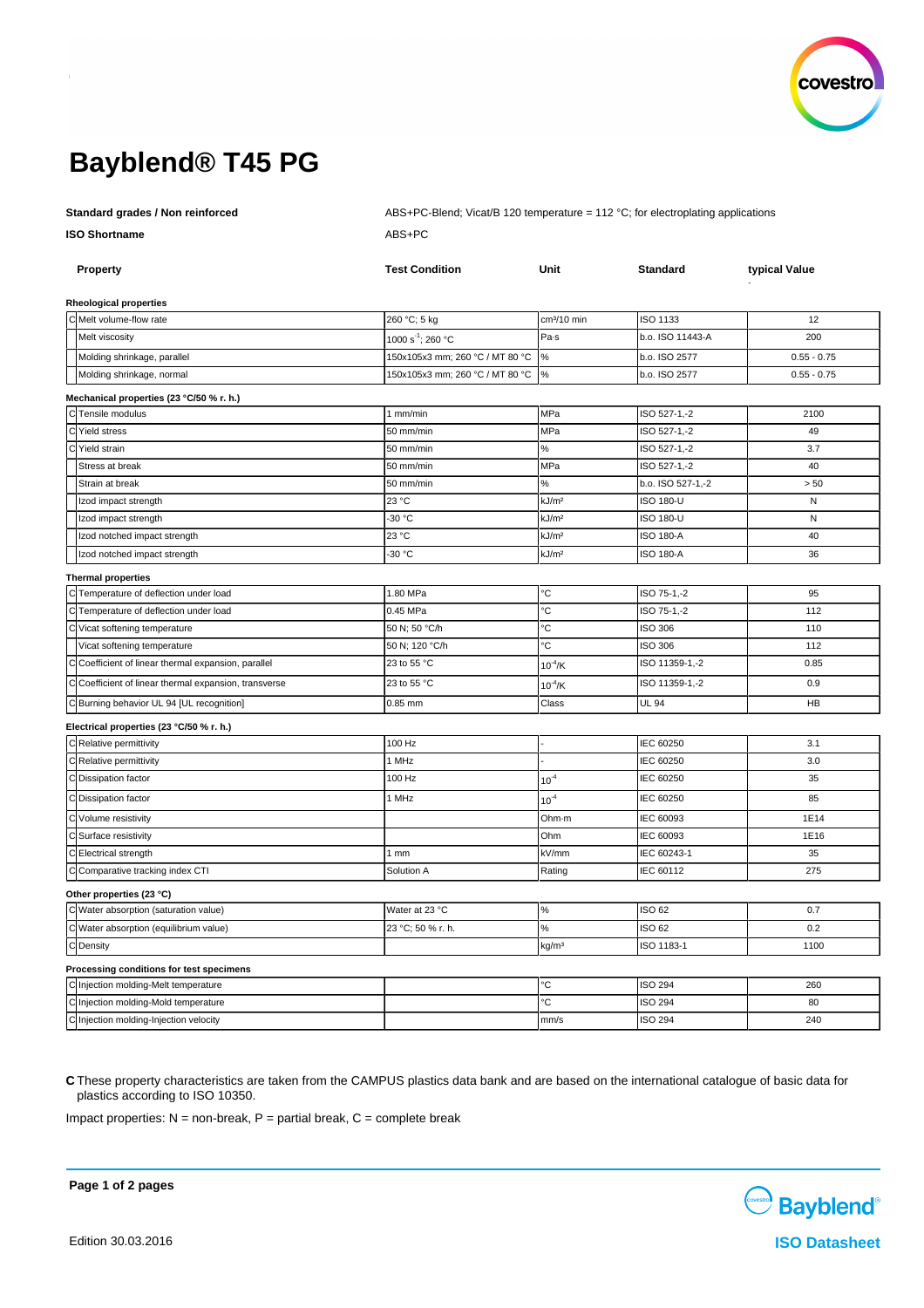

# **Bayblend® T45 PG**

**Standard grades / Non reinforced** ABS+PC-Blend; Vicat/B 120 temperature = 112 °C; for electroplating applications **ISO Shortname** ABS+PC

|           | Property                                                 | <b>Test Condition</b>                                              | Unit                    | <b>Standard</b>   | typical Value |
|-----------|----------------------------------------------------------|--------------------------------------------------------------------|-------------------------|-------------------|---------------|
|           |                                                          |                                                                    |                         |                   |               |
|           | <b>Rheological properties</b><br>C Melt volume-flow rate | 260 °C; 5 kg                                                       | cm <sup>3</sup> /10 min | ISO 1133          | 12            |
|           | Melt viscosity                                           | 1000 s <sup>-1</sup> ; 260 °C                                      | Pa-s                    | b.o. ISO 11443-A  | 200           |
|           |                                                          |                                                                    |                         | b.o. ISO 2577     |               |
|           | Molding shrinkage, parallel                              | 150x105x3 mm; 260 °C / MT 80 °C<br>150x105x3 mm; 260 °C / MT 80 °C | $\%$<br>$\%$            |                   | $0.55 - 0.75$ |
|           | Molding shrinkage, normal                                |                                                                    |                         | b.o. ISO 2577     | $0.55 - 0.75$ |
|           | Mechanical properties (23 °C/50 % r. h.)                 |                                                                    |                         |                   |               |
|           | Tensile modulus                                          | 1 mm/min                                                           | MPa                     | ISO 527-1,-2      | 2100          |
|           | Yield stress                                             | 50 mm/min                                                          | MPa                     | ISO 527-1,-2      | 49            |
|           | Yield strain                                             | 50 mm/min                                                          | $\%$                    | ISO 527-1,-2      | 3.7           |
|           | Stress at break                                          | 50 mm/min                                                          | MPa                     | ISO 527-1,-2      | 40            |
|           | Strain at break                                          | 50 mm/min                                                          | $\%$                    | b.o. ISO 527-1,-2 | > 50          |
|           | Izod impact strength                                     | 23 °C                                                              | kJ/m <sup>2</sup>       | <b>ISO 180-U</b>  | N             |
|           | Izod impact strength                                     | -30 °C                                                             | kJ/m <sup>2</sup>       | <b>ISO 180-U</b>  | N             |
|           | Izod notched impact strength                             | 23 °C                                                              | kJ/m <sup>2</sup>       | <b>ISO 180-A</b>  | 40            |
|           | Izod notched impact strength                             | -30 °C                                                             | kJ/m <sup>2</sup>       | <b>ISO 180-A</b>  | 36            |
|           | <b>Thermal properties</b>                                |                                                                    |                         |                   |               |
|           | Temperature of deflection under load                     | 1.80 MPa                                                           | °С                      | ISO 75-1,-2       | 95            |
|           | Temperature of deflection under load                     | 0.45 MPa                                                           | °С                      | ISO 75-1,-2       | 112           |
|           | Vicat softening temperature                              | 50 N; 50 °C/h                                                      | °C                      | ISO 306           | 110           |
|           | Vicat softening temperature                              | 50 N; 120 °C/h                                                     | Ċ                       | ISO 306           | 112           |
|           | Coefficient of linear thermal expansion, parallel        | 23 to 55 °C                                                        | $10^{-4}$ /K            | ISO 11359-1,-2    | 0.85          |
|           | Coefficient of linear thermal expansion, transverse      | 23 to 55 °C                                                        | $10^{-4}$ /K            | ISO 11359-1,-2    | 0.9           |
|           | C Burning behavior UL 94 [UL recognition]                | 0.85 mm                                                            | Class                   | <b>UL 94</b>      | HB            |
|           | Electrical properties (23 °C/50 % r. h.)                 |                                                                    |                         |                   |               |
|           | C Relative permittivity                                  | 100 Hz                                                             |                         | IEC 60250         | 3.1           |
|           | C Relative permittivity                                  | 1 MHz                                                              |                         | IEC 60250         | 3.0           |
|           | C Dissipation factor                                     | 100 Hz                                                             | $10^{-4}$               | IEC 60250         | 35            |
|           | C Dissipation factor                                     | 1 MHz                                                              | $10^{-4}$               | IEC 60250         | 85            |
|           | Volume resistivity                                       |                                                                    | Ohm-m                   | IEC 60093         | 1E14          |
|           | Surface resistivity                                      |                                                                    | Ohm                     | IEC 60093         | 1E16          |
|           | Electrical strength                                      | 1mm                                                                | kV/mm                   | IEC 60243-1       | 35            |
|           | C Comparative tracking index CTI                         | Solution A                                                         | Rating                  | IEC 60112         | 275           |
|           | Other properties (23 °C)                                 |                                                                    |                         |                   |               |
|           | C Water absorption (saturation value)                    | Water at 23 °C                                                     | $\%$                    | <b>ISO 62</b>     | 0.7           |
|           | C Water absorption (equilibrium value)                   | 23 °C; 50 % r. h.                                                  | $\%$                    | ISO 62            | 0.2           |
| C Density |                                                          |                                                                    | kg/m <sup>3</sup>       | ISO 1183-1        | 1100          |
|           | Processing conditions for test specimens                 |                                                                    |                         |                   |               |
|           | C Injection molding-Melt temperature                     |                                                                    | ъc                      | <b>ISO 294</b>    | 260           |
|           | C Injection molding-Mold temperature                     |                                                                    | ъc                      | <b>ISO 294</b>    | 80            |
|           | C Injection molding-Injection velocity                   |                                                                    | mm/s                    | <b>ISO 294</b>    | 240           |

**C** These property characteristics are taken from the CAMPUS plastics data bank and are based on the international catalogue of basic data for plastics according to ISO 10350.

Impact properties:  $N =$  non-break,  $P =$  partial break,  $C =$  complete break



**Page 1 of 2 pages**